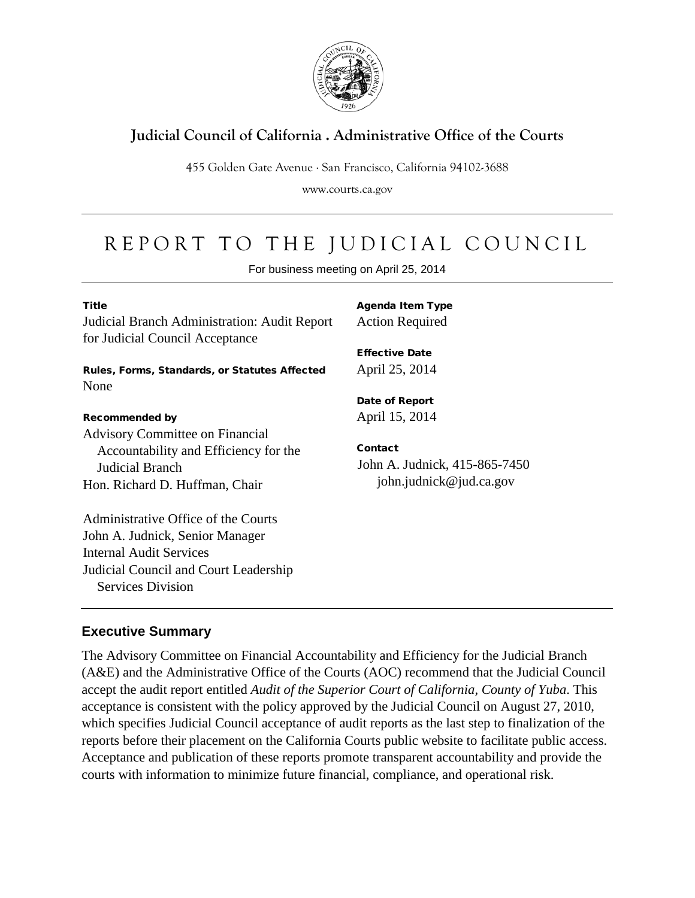

# **Judicial Council of California . Administrative Office of the Courts**

455 Golden Gate Avenue . San Francisco, California 94102-3688

www.courts.ca.gov

# REPORT TO THE JUDICIAL COUNCIL

For business meeting on April 25, 2014

| <b>Title</b><br>Judicial Branch Administration: Audit Report<br>for Judicial Council Acceptance | <b>Agenda Item Type</b><br><b>Action Required</b> |
|-------------------------------------------------------------------------------------------------|---------------------------------------------------|
|                                                                                                 | <b>Effective Date</b>                             |
| Rules, Forms, Standards, or Statutes Affected                                                   | April 25, 2014                                    |
| None                                                                                            |                                                   |
|                                                                                                 | Date of Report                                    |
| <b>Recommended by</b>                                                                           | April 15, 2014                                    |
| <b>Advisory Committee on Financial</b>                                                          |                                                   |
| Accountability and Efficiency for the                                                           | Contact                                           |
| Judicial Branch                                                                                 | John A. Judnick, 415-865-7450                     |
| Hon. Richard D. Huffman, Chair                                                                  | john.judnick@jud.ca.gov                           |
| Administrative Office of the Courts                                                             |                                                   |
| John A. Judnick, Senior Manager                                                                 |                                                   |
| Internal Audit Services                                                                         |                                                   |
| Judicial Council and Court Leadership                                                           |                                                   |
| <b>Services Division</b>                                                                        |                                                   |

#### **Executive Summary**

The Advisory Committee on Financial Accountability and Efficiency for the Judicial Branch (A&E) and the Administrative Office of the Courts (AOC) recommend that the Judicial Council accept the audit report entitled *Audit of the Superior Court of California, County of Yuba*. This acceptance is consistent with the policy approved by the Judicial Council on August 27, 2010, which specifies Judicial Council acceptance of audit reports as the last step to finalization of the reports before their placement on the California Courts public website to facilitate public access. Acceptance and publication of these reports promote transparent accountability and provide the courts with information to minimize future financial, compliance, and operational risk.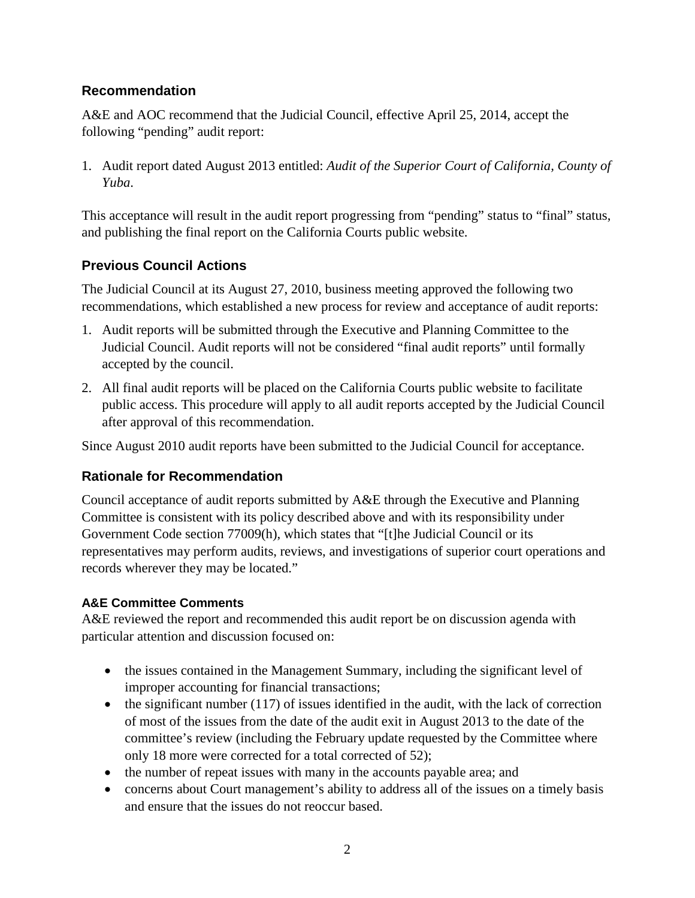#### **Recommendation**

A&E and AOC recommend that the Judicial Council, effective April 25, 2014, accept the following "pending" audit report:

1. Audit report dated August 2013 entitled: *Audit of the Superior Court of California, County of Yuba*.

This acceptance will result in the audit report progressing from "pending" status to "final" status, and publishing the final report on the California Courts public website.

#### **Previous Council Actions**

The Judicial Council at its August 27, 2010, business meeting approved the following two recommendations, which established a new process for review and acceptance of audit reports:

- 1. Audit reports will be submitted through the Executive and Planning Committee to the Judicial Council. Audit reports will not be considered "final audit reports" until formally accepted by the council.
- 2. All final audit reports will be placed on the California Courts public website to facilitate public access. This procedure will apply to all audit reports accepted by the Judicial Council after approval of this recommendation.

Since August 2010 audit reports have been submitted to the Judicial Council for acceptance.

#### **Rationale for Recommendation**

Council acceptance of audit reports submitted by A&E through the Executive and Planning Committee is consistent with its policy described above and with its responsibility under Government Code section 77009(h), which states that "[t]he Judicial Council or its representatives may perform audits, reviews, and investigations of superior court operations and records wherever they may be located."

#### **A&E Committee Comments**

A&E reviewed the report and recommended this audit report be on discussion agenda with particular attention and discussion focused on:

- the issues contained in the Management Summary, including the significant level of improper accounting for financial transactions;
- $\bullet$  the significant number (117) of issues identified in the audit, with the lack of correction of most of the issues from the date of the audit exit in August 2013 to the date of the committee's review (including the February update requested by the Committee where only 18 more were corrected for a total corrected of 52);
- the number of repeat issues with many in the accounts payable area; and
- concerns about Court management's ability to address all of the issues on a timely basis and ensure that the issues do not reoccur based.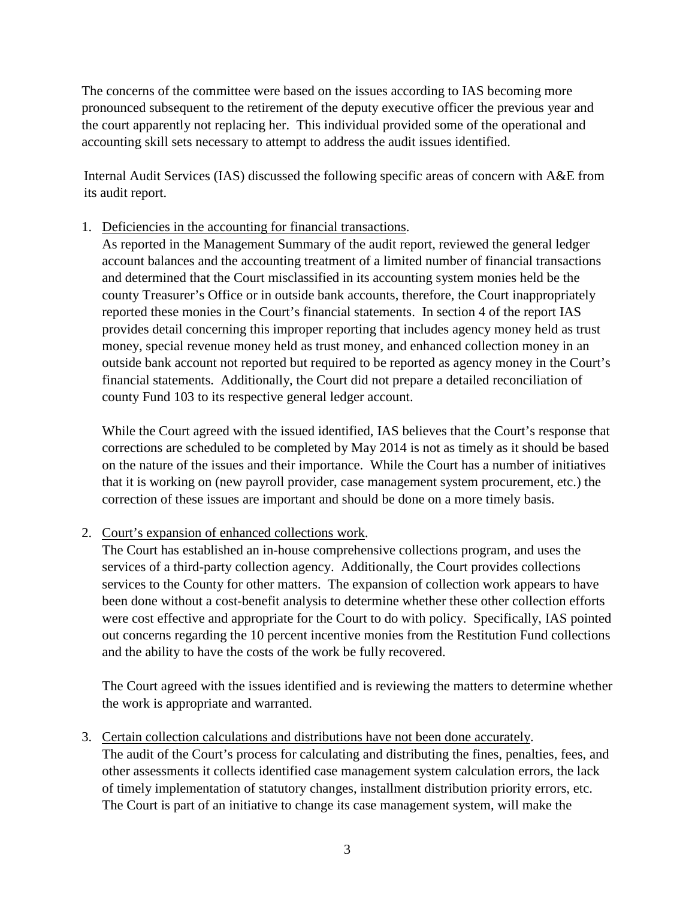The concerns of the committee were based on the issues according to IAS becoming more pronounced subsequent to the retirement of the deputy executive officer the previous year and the court apparently not replacing her. This individual provided some of the operational and accounting skill sets necessary to attempt to address the audit issues identified.

Internal Audit Services (IAS) discussed the following specific areas of concern with A&E from its audit report.

1. Deficiencies in the accounting for financial transactions.

As reported in the Management Summary of the audit report, reviewed the general ledger account balances and the accounting treatment of a limited number of financial transactions and determined that the Court misclassified in its accounting system monies held be the county Treasurer's Office or in outside bank accounts, therefore, the Court inappropriately reported these monies in the Court's financial statements. In section 4 of the report IAS provides detail concerning this improper reporting that includes agency money held as trust money, special revenue money held as trust money, and enhanced collection money in an outside bank account not reported but required to be reported as agency money in the Court's financial statements. Additionally, the Court did not prepare a detailed reconciliation of county Fund 103 to its respective general ledger account.

While the Court agreed with the issued identified, IAS believes that the Court's response that corrections are scheduled to be completed by May 2014 is not as timely as it should be based on the nature of the issues and their importance. While the Court has a number of initiatives that it is working on (new payroll provider, case management system procurement, etc.) the correction of these issues are important and should be done on a more timely basis.

2. Court's expansion of enhanced collections work.

The Court has established an in-house comprehensive collections program, and uses the services of a third-party collection agency. Additionally, the Court provides collections services to the County for other matters. The expansion of collection work appears to have been done without a cost-benefit analysis to determine whether these other collection efforts were cost effective and appropriate for the Court to do with policy. Specifically, IAS pointed out concerns regarding the 10 percent incentive monies from the Restitution Fund collections and the ability to have the costs of the work be fully recovered.

The Court agreed with the issues identified and is reviewing the matters to determine whether the work is appropriate and warranted.

3. Certain collection calculations and distributions have not been done accurately.

The audit of the Court's process for calculating and distributing the fines, penalties, fees, and other assessments it collects identified case management system calculation errors, the lack of timely implementation of statutory changes, installment distribution priority errors, etc. The Court is part of an initiative to change its case management system, will make the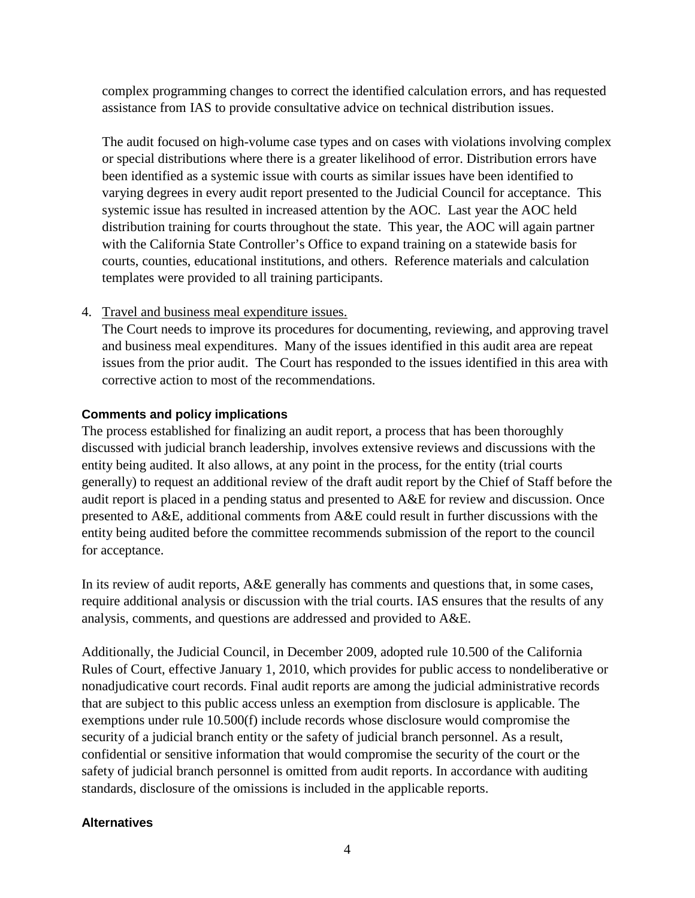complex programming changes to correct the identified calculation errors, and has requested assistance from IAS to provide consultative advice on technical distribution issues.

The audit focused on high-volume case types and on cases with violations involving complex or special distributions where there is a greater likelihood of error. Distribution errors have been identified as a systemic issue with courts as similar issues have been identified to varying degrees in every audit report presented to the Judicial Council for acceptance. This systemic issue has resulted in increased attention by the AOC. Last year the AOC held distribution training for courts throughout the state. This year, the AOC will again partner with the California State Controller's Office to expand training on a statewide basis for courts, counties, educational institutions, and others. Reference materials and calculation templates were provided to all training participants.

4. Travel and business meal expenditure issues.

The Court needs to improve its procedures for documenting, reviewing, and approving travel and business meal expenditures. Many of the issues identified in this audit area are repeat issues from the prior audit. The Court has responded to the issues identified in this area with corrective action to most of the recommendations.

#### **Comments and policy implications**

The process established for finalizing an audit report, a process that has been thoroughly discussed with judicial branch leadership, involves extensive reviews and discussions with the entity being audited. It also allows, at any point in the process, for the entity (trial courts generally) to request an additional review of the draft audit report by the Chief of Staff before the audit report is placed in a pending status and presented to A&E for review and discussion. Once presented to A&E, additional comments from A&E could result in further discussions with the entity being audited before the committee recommends submission of the report to the council for acceptance.

In its review of audit reports, A&E generally has comments and questions that, in some cases, require additional analysis or discussion with the trial courts. IAS ensures that the results of any analysis, comments, and questions are addressed and provided to A&E.

Additionally, the Judicial Council, in December 2009, adopted rule 10.500 of the California Rules of Court, effective January 1, 2010, which provides for public access to nondeliberative or nonadjudicative court records. Final audit reports are among the judicial administrative records that are subject to this public access unless an exemption from disclosure is applicable. The exemptions under rule 10.500(f) include records whose disclosure would compromise the security of a judicial branch entity or the safety of judicial branch personnel. As a result, confidential or sensitive information that would compromise the security of the court or the safety of judicial branch personnel is omitted from audit reports. In accordance with auditing standards, disclosure of the omissions is included in the applicable reports.

#### **Alternatives**